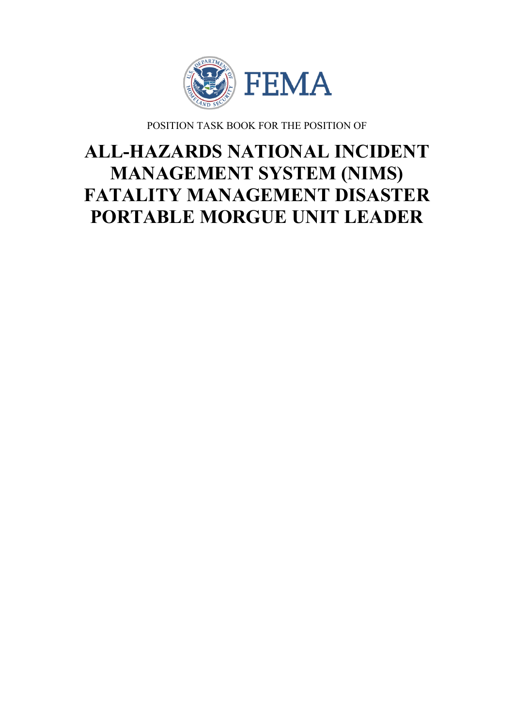

POSITION TASK BOOK FOR THE POSITION OF

# **ALL-HAZARDS NATIONAL INCIDENT MANAGEMENT SYSTEM (NIMS) FATALITY MANAGEMENT DISASTER PORTABLE MORGUE UNIT LEADER**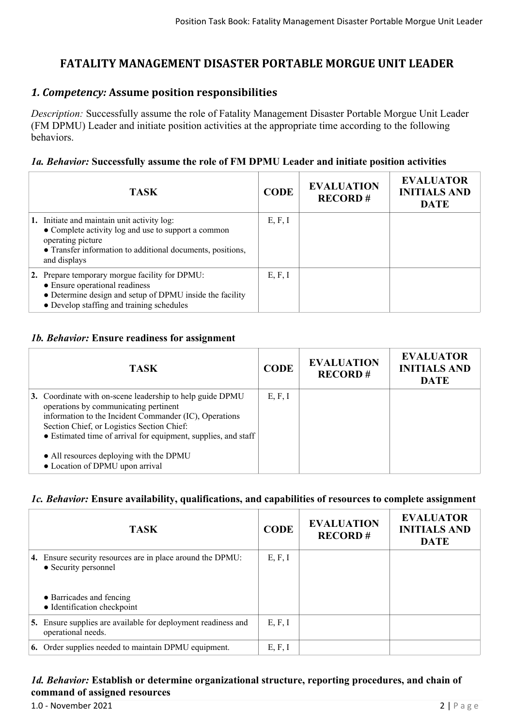# **FATALITY MANAGEMENT DISASTER PORTABLE MORGUE UNIT LEADER**

## *1. Competency:* **Assume position responsibilities**

*Description:* Successfully assume the role of Fatality Management Disaster Portable Morgue Unit Leader (FM DPMU) Leader and initiate position activities at the appropriate time according to the following behaviors.

#### *1a. Behavior:* **Successfully assume the role of FM DPMU Leader and initiate position activities**

| <b>TASK</b>                                                                                                                                                                                           | <b>CODE</b> | <b>EVALUATION</b><br><b>RECORD#</b> | <b>EVALUATOR</b><br><b>INITIALS AND</b><br><b>DATE</b> |
|-------------------------------------------------------------------------------------------------------------------------------------------------------------------------------------------------------|-------------|-------------------------------------|--------------------------------------------------------|
| 1. Initiate and maintain unit activity log:<br>• Complete activity log and use to support a common<br>operating picture<br>• Transfer information to additional documents, positions,<br>and displays | E, F, I     |                                     |                                                        |
| 2. Prepare temporary morgue facility for DPMU:<br>• Ensure operational readiness<br>• Determine design and setup of DPMU inside the facility<br>• Develop staffing and training schedules             | E, F, I     |                                     |                                                        |

### *1b. Behavior:* **Ensure readiness for assignment**

| <b>TASK</b>                                                                                                                                                                                                                                                                  | <b>CODE</b> | <b>EVALUATION</b><br><b>RECORD#</b> | <b>EVALUATOR</b><br><b>INITIALS AND</b><br><b>DATE</b> |
|------------------------------------------------------------------------------------------------------------------------------------------------------------------------------------------------------------------------------------------------------------------------------|-------------|-------------------------------------|--------------------------------------------------------|
| 3. Coordinate with on-scene leadership to help guide DPMU<br>operations by communicating pertinent<br>information to the Incident Commander (IC), Operations<br>Section Chief, or Logistics Section Chief:<br>• Estimated time of arrival for equipment, supplies, and staff | E, F, I     |                                     |                                                        |
| • All resources deploying with the DPMU<br>• Location of DPMU upon arrival                                                                                                                                                                                                   |             |                                     |                                                        |

## *1c. Behavior:* **Ensure availability, qualifications, and capabilities of resources to complete assignment**

|    | <b>TASK</b>                                                                                                                                   | <b>CODE</b> | <b>EVALUATION</b><br><b>RECORD#</b> | <b>EVALUATOR</b><br><b>INITIALS AND</b><br><b>DATE</b> |
|----|-----------------------------------------------------------------------------------------------------------------------------------------------|-------------|-------------------------------------|--------------------------------------------------------|
|    | 4. Ensure security resources are in place around the DPMU:<br>• Security personnel<br>• Barricades and fencing<br>• Identification checkpoint | E, F, I     |                                     |                                                        |
| 5. | Ensure supplies are available for deployment readiness and<br>operational needs.                                                              | E, F, I     |                                     |                                                        |
|    | 6. Order supplies needed to maintain DPMU equipment.                                                                                          | E, F, I     |                                     |                                                        |

### *1d. Behavior:* **Establish or determine organizational structure, reporting procedures, and chain of command of assigned resources**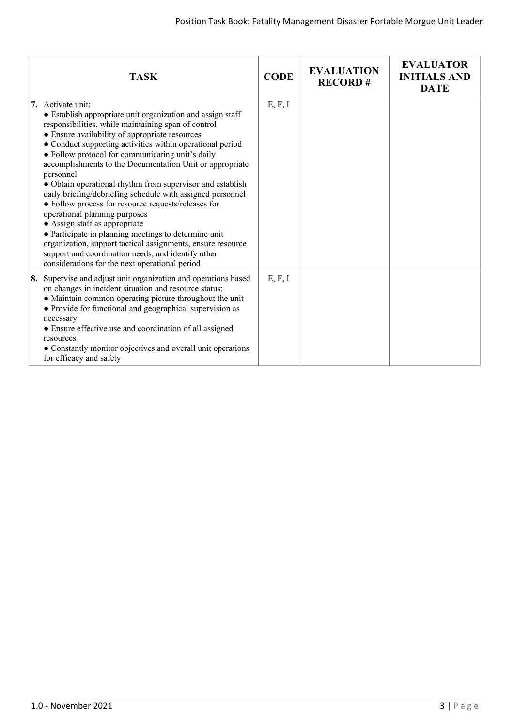| <b>TASK</b>                                                                                                                                                                                                                                                                                                                                                                                                                                                                                                                                                                                                                                                                                                                                                                                                                                                           | <b>CODE</b> | <b>EVALUATION</b><br><b>RECORD#</b> | <b>EVALUATOR</b><br><b>INITIALS AND</b><br><b>DATE</b> |
|-----------------------------------------------------------------------------------------------------------------------------------------------------------------------------------------------------------------------------------------------------------------------------------------------------------------------------------------------------------------------------------------------------------------------------------------------------------------------------------------------------------------------------------------------------------------------------------------------------------------------------------------------------------------------------------------------------------------------------------------------------------------------------------------------------------------------------------------------------------------------|-------------|-------------------------------------|--------------------------------------------------------|
| 7. Activate unit:<br>• Establish appropriate unit organization and assign staff<br>responsibilities, while maintaining span of control<br>• Ensure availability of appropriate resources<br>• Conduct supporting activities within operational period<br>• Follow protocol for communicating unit's daily<br>accomplishments to the Documentation Unit or appropriate<br>personnel<br>• Obtain operational rhythm from supervisor and establish<br>daily briefing/debriefing schedule with assigned personnel<br>• Follow process for resource requests/releases for<br>operational planning purposes<br>• Assign staff as appropriate<br>• Participate in planning meetings to determine unit<br>organization, support tactical assignments, ensure resource<br>support and coordination needs, and identify other<br>considerations for the next operational period | E, F, I     |                                     |                                                        |
| Supervise and adjust unit organization and operations based<br>8.<br>on changes in incident situation and resource status:<br>• Maintain common operating picture throughout the unit<br>• Provide for functional and geographical supervision as<br>necessary<br>• Ensure effective use and coordination of all assigned<br>resources<br>• Constantly monitor objectives and overall unit operations<br>for efficacy and safety                                                                                                                                                                                                                                                                                                                                                                                                                                      | E, F, I     |                                     |                                                        |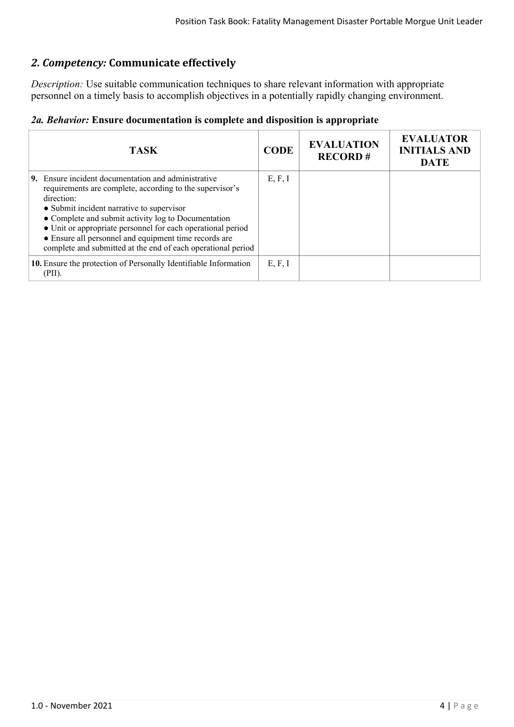# *2. Competency:* **Communicate effectively**

*Description:* Use suitable communication techniques to share relevant information with appropriate personnel on a timely basis to accomplish objectives in a potentially rapidly changing environment.

| 2a. Behavior: Ensure documentation is complete and disposition is appropriate |  |  |  |
|-------------------------------------------------------------------------------|--|--|--|
|-------------------------------------------------------------------------------|--|--|--|

| TASK.                                                                                                                                                                                                                                                                                                                                                                                                                            | <b>CODE</b> | <b>EVALUATION</b><br><b>RECORD#</b> | <b>EVALUATOR</b><br><b>INITIALS AND</b><br><b>DATE</b> |
|----------------------------------------------------------------------------------------------------------------------------------------------------------------------------------------------------------------------------------------------------------------------------------------------------------------------------------------------------------------------------------------------------------------------------------|-------------|-------------------------------------|--------------------------------------------------------|
| <b>9.</b> Ensure incident documentation and administrative<br>requirements are complete, according to the supervisor's<br>direction:<br>• Submit incident narrative to supervisor<br>• Complete and submit activity log to Documentation<br>• Unit or appropriate personnel for each operational period<br>• Ensure all personnel and equipment time records are<br>complete and submitted at the end of each operational period | E, F, I     |                                     |                                                        |
| 10. Ensure the protection of Personally Identifiable Information<br>(PII).                                                                                                                                                                                                                                                                                                                                                       | E, F, I     |                                     |                                                        |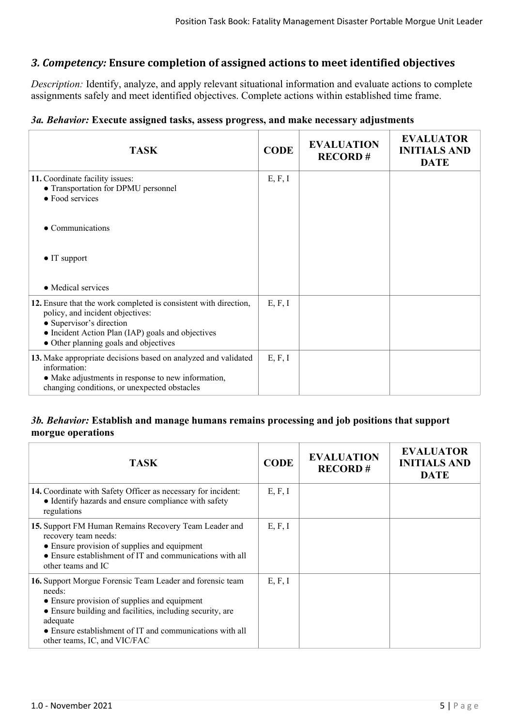## *3. Competency:* **Ensure completion of assigned actions to meet identified objectives**

*Description:* Identify, analyze, and apply relevant situational information and evaluate actions to complete assignments safely and meet identified objectives. Complete actions within established time frame.

## *3a. Behavior:* **Execute assigned tasks, assess progress, and make necessary adjustments**

| <b>TASK</b>                                                                                                                                                                                                                    | <b>CODE</b> | <b>EVALUATION</b><br><b>RECORD#</b> | <b>EVALUATOR</b><br><b>INITIALS AND</b><br><b>DATE</b> |
|--------------------------------------------------------------------------------------------------------------------------------------------------------------------------------------------------------------------------------|-------------|-------------------------------------|--------------------------------------------------------|
| 11. Coordinate facility issues:<br>• Transportation for DPMU personnel<br>• Food services                                                                                                                                      | E, F, I     |                                     |                                                        |
| • Communications                                                                                                                                                                                                               |             |                                     |                                                        |
| $\bullet$ IT support                                                                                                                                                                                                           |             |                                     |                                                        |
| • Medical services                                                                                                                                                                                                             |             |                                     |                                                        |
| 12. Ensure that the work completed is consistent with direction,<br>policy, and incident objectives:<br>• Supervisor's direction<br>• Incident Action Plan (IAP) goals and objectives<br>• Other planning goals and objectives | E, F, I     |                                     |                                                        |
| 13. Make appropriate decisions based on analyzed and validated<br>information:<br>• Make adjustments in response to new information,<br>changing conditions, or unexpected obstacles                                           | E, F, I     |                                     |                                                        |

### *3b. Behavior:* **Establish and manage humans remains processing and job positions that support morgue operations**

| TASK                                                                                                                                                                                                                                                                                     | <b>CODE</b> | <b>EVALUATION</b><br><b>RECORD#</b> | <b>EVALUATOR</b><br><b>INITIALS AND</b><br><b>DATE</b> |
|------------------------------------------------------------------------------------------------------------------------------------------------------------------------------------------------------------------------------------------------------------------------------------------|-------------|-------------------------------------|--------------------------------------------------------|
| 14. Coordinate with Safety Officer as necessary for incident:<br>• Identify hazards and ensure compliance with safety<br>regulations                                                                                                                                                     | E, F, I     |                                     |                                                        |
| 15. Support FM Human Remains Recovery Team Leader and<br>recovery team needs:<br>• Ensure provision of supplies and equipment<br>• Ensure establishment of IT and communications with all<br>other teams and IC                                                                          | E, F, I     |                                     |                                                        |
| 16. Support Morgue Forensic Team Leader and forensic team<br>needs:<br>• Ensure provision of supplies and equipment<br>• Ensure building and facilities, including security, are<br>adequate<br>• Ensure establishment of IT and communications with all<br>other teams, IC, and VIC/FAC | E, F, I     |                                     |                                                        |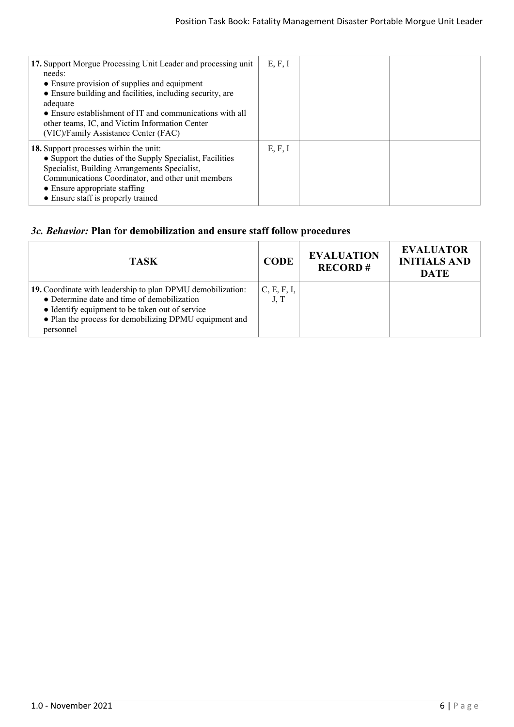| 17. Support Morgue Processing Unit Leader and processing unit<br>needs:<br>• Ensure provision of supplies and equipment<br>• Ensure building and facilities, including security, are<br>adequate<br>• Ensure establishment of IT and communications with all<br>other teams, IC, and Victim Information Center<br>(VIC)/Family Assistance Center (FAC) | E, F, I |  |
|--------------------------------------------------------------------------------------------------------------------------------------------------------------------------------------------------------------------------------------------------------------------------------------------------------------------------------------------------------|---------|--|
| 18. Support processes within the unit:<br>• Support the duties of the Supply Specialist, Facilities<br>Specialist, Building Arrangements Specialist,<br>Communications Coordinator, and other unit members<br>• Ensure appropriate staffing<br>• Ensure staff is properly trained                                                                      | E, F, I |  |

## *3c. Behavior:* **Plan for demobilization and ensure staff follow procedures**

| TASK.                                                                                                                                                                                                                                | <b>CODE</b>         | <b>EVALUATION</b><br><b>RECORD#</b> | <b>EVALUATOR</b><br><b>INITIALS AND</b><br><b>DATE</b> |
|--------------------------------------------------------------------------------------------------------------------------------------------------------------------------------------------------------------------------------------|---------------------|-------------------------------------|--------------------------------------------------------|
| 19. Coordinate with leadership to plan DPMU demobilization:<br>• Determine date and time of demobilization<br>• Identify equipment to be taken out of service<br>• Plan the process for demobilizing DPMU equipment and<br>personnel | C, E, F, I,<br>J, T |                                     |                                                        |